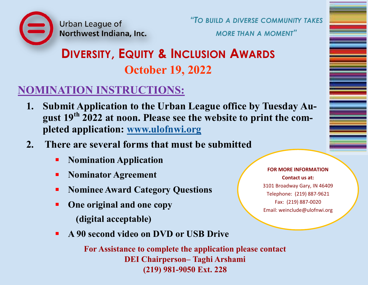Urban League of Northwest Indiana, Inc. *"TO BUILD A DIVERSE COMMUNITY TAKES*

*MORE THAN A MOMENT"*

# **DIVERSITY, EQUITY & INCLUSION AWARDS October 19, 2022**

### **NOMINATION INSTRUCTIONS:**

- **1. Submit Application to the Urban League office by Tuesday August 19th 2022 at noon. Please see the website to print the completed application: [www.ulofnwi.org](mailto:www.ulofnwi.org)**
- **2. There are several forms that must be submitted**
	- **Nomination Application**
	- **Nominator Agreement**
	- **Nominee Award Category Questions**
	- **One original and one copy (digital acceptable)**
	- **A 90 second video on DVD or USB Drive**

**For Assistance to complete the application please contact DEI Chairperson– Taghi Arshami (219) 981-9050 Ext. 228**

**FOR MORE INFORMATION Contact us at:**  3101 Broadway Gary, IN 46409 Telephone: (219) 887-9621 Fax: (219) 887-0020 Email: weinclude@ulofnwi.org